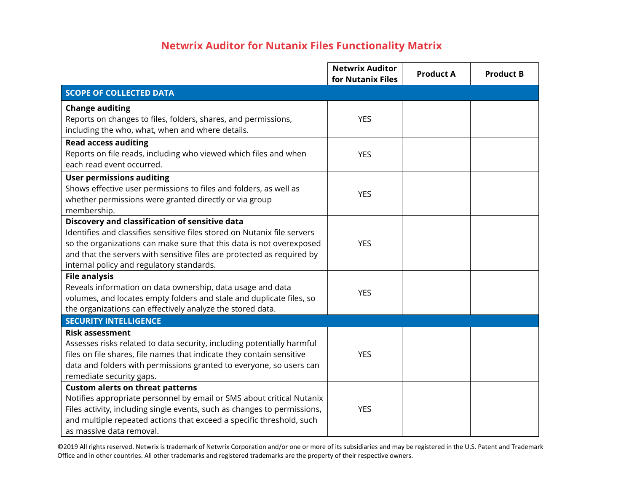## **Netwrix Auditor for Nutanix Files Functionality Matrix**

|                                                                                                                                                                                                                                                                                                                                                                                                                                                                                                                                                                                                                                                                                                                                                                                                                                                                                                                                                                                                                                                                                                                                    | <b>Netwrix Auditor</b><br>for Nutanix Files          | <b>Product A</b> | <b>Product B</b> |
|------------------------------------------------------------------------------------------------------------------------------------------------------------------------------------------------------------------------------------------------------------------------------------------------------------------------------------------------------------------------------------------------------------------------------------------------------------------------------------------------------------------------------------------------------------------------------------------------------------------------------------------------------------------------------------------------------------------------------------------------------------------------------------------------------------------------------------------------------------------------------------------------------------------------------------------------------------------------------------------------------------------------------------------------------------------------------------------------------------------------------------|------------------------------------------------------|------------------|------------------|
| <b>SCOPE OF COLLECTED DATA</b>                                                                                                                                                                                                                                                                                                                                                                                                                                                                                                                                                                                                                                                                                                                                                                                                                                                                                                                                                                                                                                                                                                     |                                                      |                  |                  |
| <b>Change auditing</b>                                                                                                                                                                                                                                                                                                                                                                                                                                                                                                                                                                                                                                                                                                                                                                                                                                                                                                                                                                                                                                                                                                             |                                                      |                  |                  |
| Reports on changes to files, folders, shares, and permissions,                                                                                                                                                                                                                                                                                                                                                                                                                                                                                                                                                                                                                                                                                                                                                                                                                                                                                                                                                                                                                                                                     | <b>YES</b>                                           |                  |                  |
| including the who, what, when and where details.                                                                                                                                                                                                                                                                                                                                                                                                                                                                                                                                                                                                                                                                                                                                                                                                                                                                                                                                                                                                                                                                                   |                                                      |                  |                  |
| <b>Read access auditing</b>                                                                                                                                                                                                                                                                                                                                                                                                                                                                                                                                                                                                                                                                                                                                                                                                                                                                                                                                                                                                                                                                                                        |                                                      |                  |                  |
| Reports on file reads, including who viewed which files and when                                                                                                                                                                                                                                                                                                                                                                                                                                                                                                                                                                                                                                                                                                                                                                                                                                                                                                                                                                                                                                                                   | <b>YES</b>                                           |                  |                  |
|                                                                                                                                                                                                                                                                                                                                                                                                                                                                                                                                                                                                                                                                                                                                                                                                                                                                                                                                                                                                                                                                                                                                    |                                                      |                  |                  |
|                                                                                                                                                                                                                                                                                                                                                                                                                                                                                                                                                                                                                                                                                                                                                                                                                                                                                                                                                                                                                                                                                                                                    |                                                      |                  |                  |
|                                                                                                                                                                                                                                                                                                                                                                                                                                                                                                                                                                                                                                                                                                                                                                                                                                                                                                                                                                                                                                                                                                                                    | <b>YES</b>                                           |                  |                  |
|                                                                                                                                                                                                                                                                                                                                                                                                                                                                                                                                                                                                                                                                                                                                                                                                                                                                                                                                                                                                                                                                                                                                    |                                                      |                  |                  |
|                                                                                                                                                                                                                                                                                                                                                                                                                                                                                                                                                                                                                                                                                                                                                                                                                                                                                                                                                                                                                                                                                                                                    |                                                      |                  |                  |
|                                                                                                                                                                                                                                                                                                                                                                                                                                                                                                                                                                                                                                                                                                                                                                                                                                                                                                                                                                                                                                                                                                                                    |                                                      |                  |                  |
|                                                                                                                                                                                                                                                                                                                                                                                                                                                                                                                                                                                                                                                                                                                                                                                                                                                                                                                                                                                                                                                                                                                                    |                                                      |                  |                  |
|                                                                                                                                                                                                                                                                                                                                                                                                                                                                                                                                                                                                                                                                                                                                                                                                                                                                                                                                                                                                                                                                                                                                    |                                                      |                  |                  |
|                                                                                                                                                                                                                                                                                                                                                                                                                                                                                                                                                                                                                                                                                                                                                                                                                                                                                                                                                                                                                                                                                                                                    |                                                      |                  |                  |
| <b>File analysis</b>                                                                                                                                                                                                                                                                                                                                                                                                                                                                                                                                                                                                                                                                                                                                                                                                                                                                                                                                                                                                                                                                                                               |                                                      |                  |                  |
| Reveals information on data ownership, data usage and data                                                                                                                                                                                                                                                                                                                                                                                                                                                                                                                                                                                                                                                                                                                                                                                                                                                                                                                                                                                                                                                                         |                                                      |                  |                  |
| volumes, and locates empty folders and stale and duplicate files, so                                                                                                                                                                                                                                                                                                                                                                                                                                                                                                                                                                                                                                                                                                                                                                                                                                                                                                                                                                                                                                                               |                                                      |                  |                  |
| the organizations can effectively analyze the stored data.                                                                                                                                                                                                                                                                                                                                                                                                                                                                                                                                                                                                                                                                                                                                                                                                                                                                                                                                                                                                                                                                         |                                                      |                  |                  |
|                                                                                                                                                                                                                                                                                                                                                                                                                                                                                                                                                                                                                                                                                                                                                                                                                                                                                                                                                                                                                                                                                                                                    |                                                      |                  |                  |
| <b>Risk assessment</b>                                                                                                                                                                                                                                                                                                                                                                                                                                                                                                                                                                                                                                                                                                                                                                                                                                                                                                                                                                                                                                                                                                             |                                                      |                  |                  |
|                                                                                                                                                                                                                                                                                                                                                                                                                                                                                                                                                                                                                                                                                                                                                                                                                                                                                                                                                                                                                                                                                                                                    |                                                      |                  |                  |
|                                                                                                                                                                                                                                                                                                                                                                                                                                                                                                                                                                                                                                                                                                                                                                                                                                                                                                                                                                                                                                                                                                                                    |                                                      |                  |                  |
|                                                                                                                                                                                                                                                                                                                                                                                                                                                                                                                                                                                                                                                                                                                                                                                                                                                                                                                                                                                                                                                                                                                                    |                                                      |                  |                  |
|                                                                                                                                                                                                                                                                                                                                                                                                                                                                                                                                                                                                                                                                                                                                                                                                                                                                                                                                                                                                                                                                                                                                    |                                                      |                  |                  |
|                                                                                                                                                                                                                                                                                                                                                                                                                                                                                                                                                                                                                                                                                                                                                                                                                                                                                                                                                                                                                                                                                                                                    |                                                      |                  |                  |
|                                                                                                                                                                                                                                                                                                                                                                                                                                                                                                                                                                                                                                                                                                                                                                                                                                                                                                                                                                                                                                                                                                                                    |                                                      |                  |                  |
|                                                                                                                                                                                                                                                                                                                                                                                                                                                                                                                                                                                                                                                                                                                                                                                                                                                                                                                                                                                                                                                                                                                                    |                                                      |                  |                  |
|                                                                                                                                                                                                                                                                                                                                                                                                                                                                                                                                                                                                                                                                                                                                                                                                                                                                                                                                                                                                                                                                                                                                    |                                                      |                  |                  |
| each read event occurred.<br><b>User permissions auditing</b><br>Shows effective user permissions to files and folders, as well as<br>whether permissions were granted directly or via group<br>membership.<br>Discovery and classification of sensitive data<br>Identifies and classifies sensitive files stored on Nutanix file servers<br>so the organizations can make sure that this data is not overexposed<br>and that the servers with sensitive files are protected as required by<br>internal policy and regulatory standards.<br><b>SECURITY INTELLIGENCE</b><br>Assesses risks related to data security, including potentially harmful<br>files on file shares, file names that indicate they contain sensitive<br>data and folders with permissions granted to everyone, so users can<br>remediate security gaps.<br><b>Custom alerts on threat patterns</b><br>Notifies appropriate personnel by email or SMS about critical Nutanix<br>Files activity, including single events, such as changes to permissions,<br>and multiple repeated actions that exceed a specific threshold, such<br>as massive data removal. | <b>YES</b><br><b>YES</b><br><b>YES</b><br><b>YES</b> |                  |                  |

©2019 All rights reserved. Netwrix is trademark of Netwrix Corporation and/or one or more of its subsidiaries and may be registered in the U.S. Patent and Trademark Office and in other countries. All other trademarks and registered trademarks are the property of their respective owners.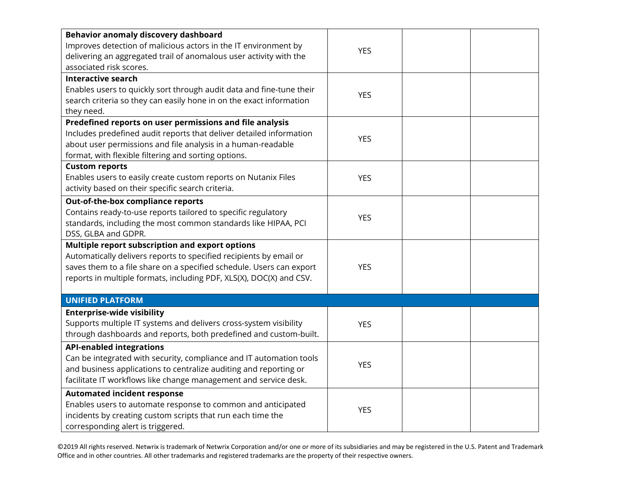| Behavior anomaly discovery dashboard                                 |            |  |
|----------------------------------------------------------------------|------------|--|
| Improves detection of malicious actors in the IT environment by      | <b>YES</b> |  |
| delivering an aggregated trail of anomalous user activity with the   |            |  |
| associated risk scores.                                              |            |  |
| <b>Interactive search</b>                                            |            |  |
| Enables users to quickly sort through audit data and fine-tune their | <b>YES</b> |  |
| search criteria so they can easily hone in on the exact information  |            |  |
| they need.                                                           |            |  |
| Predefined reports on user permissions and file analysis             |            |  |
| Includes predefined audit reports that deliver detailed information  | <b>YES</b> |  |
| about user permissions and file analysis in a human-readable         |            |  |
| format, with flexible filtering and sorting options.                 |            |  |
| <b>Custom reports</b>                                                |            |  |
| Enables users to easily create custom reports on Nutanix Files       | <b>YES</b> |  |
| activity based on their specific search criteria.                    |            |  |
| Out-of-the-box compliance reports                                    |            |  |
| Contains ready-to-use reports tailored to specific regulatory        |            |  |
| standards, including the most common standards like HIPAA, PCI       | <b>YES</b> |  |
| DSS, GLBA and GDPR.                                                  |            |  |
| Multiple report subscription and export options                      |            |  |
| Automatically delivers reports to specified recipients by email or   |            |  |
| saves them to a file share on a specified schedule. Users can export | <b>YES</b> |  |
| reports in multiple formats, including PDF, XLS(X), DOC(X) and CSV.  |            |  |
|                                                                      |            |  |
| <b>UNIFIED PLATFORM</b>                                              |            |  |
| <b>Enterprise-wide visibility</b>                                    |            |  |
| Supports multiple IT systems and delivers cross-system visibility    | <b>YES</b> |  |
| through dashboards and reports, both predefined and custom-built.    |            |  |
| <b>API-enabled integrations</b>                                      |            |  |
| Can be integrated with security, compliance and IT automation tools  |            |  |
| and business applications to centralize auditing and reporting or    | <b>YES</b> |  |
| facilitate IT workflows like change management and service desk.     |            |  |
| <b>Automated incident response</b>                                   |            |  |
| Enables users to automate response to common and anticipated         |            |  |
| incidents by creating custom scripts that run each time the          | <b>YES</b> |  |
| corresponding alert is triggered.                                    |            |  |

©2019 All rights reserved. Netwrix is trademark of Netwrix Corporation and/or one or more of its subsidiaries and may be registered in the U.S. Patent and Trademark Office and in other countries. All other trademarks and registered trademarks are the property of their respective owners.